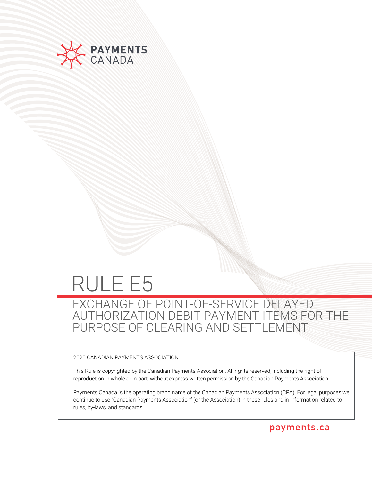

# RULE E5

EXCHANGE OF POINT-OF-SERVICE DELAYED AUTHORIZATION DEBIT PAYMENT ITEMS FOR THE PURPOSE OF CLEARING AND SETTLEMENT

2020 CANADIAN PAYMENTS ASSOCIATION

This Rule is copyrighted by the Canadian Payments Association. All rights reserved, including the right of reproduction in whole or in part, without express written permission by the Canadian Payments Association.

Payments Canada is the operating brand name of the Canadian Payments Association (CPA). For legal purposes we continue to use "Canadian Payments Association" (or the Association) in these rules and in information related to rules, by-laws, and standards.

payments.ca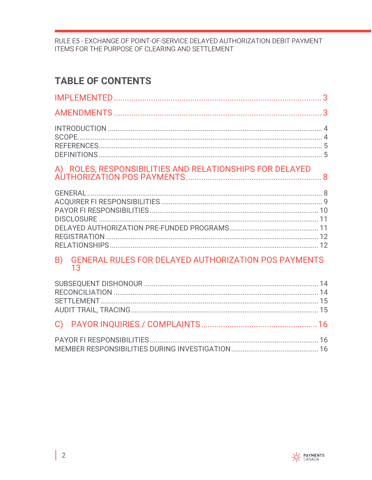## **TABLE OF CONTENTS**

## 

### B) GENERAL RULES FOR DELAYED AUTHORIZATION POS PAYMENTS 13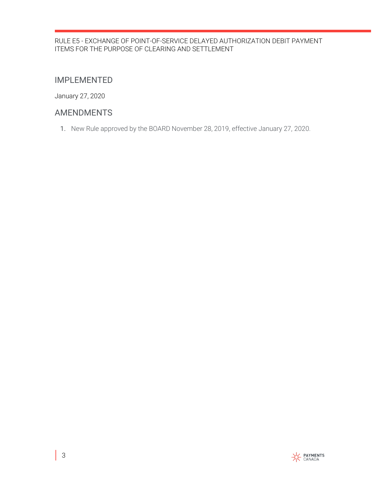## <span id="page-2-0"></span>IMPLEMENTED

January 27, 2020

## <span id="page-2-1"></span>AMENDMENTS

1. New Rule approved by the BOARD November 28, 2019, effective January 27, 2020.

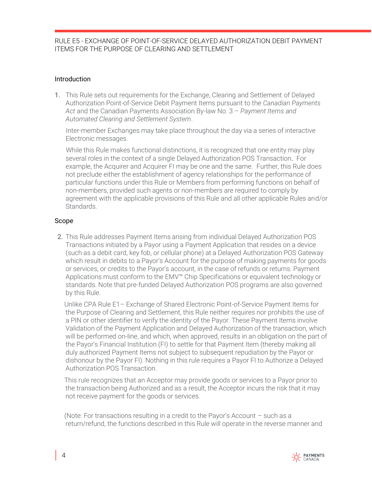#### <span id="page-3-0"></span>Introduction

1. This Rule sets out requirements for the Exchange, Clearing and Settlement of Delayed Authorization Point-of-Service Debit Payment Items pursuant to the *Canadian Payments Act* and the Canadian Payments Association By-law No. 3 – *Payment Items and Automated Clearing and Settlement System*.

 Inter-member Exchanges may take place throughout the day via a series of interactive Electronic messages.

 While this Rule makes functional distinctions, it is recognized that one entity may play several roles in the context of a single Delayed Authorization POS Transaction. For example, the Acquirer and Acquirer FI may be one and the same. Further, this Rule does not preclude either the establishment of agency relationships for the performance of particular functions under this Rule or Members from performing functions on behalf of non-members, provided such agents or non-members are required to comply by agreement with the applicable provisions of this Rule and all other applicable Rules and/or Standards.

#### <span id="page-3-1"></span>Scope

2. This Rule addresses Payment Items arising from individual Delayed Authorization POS Transactions initiated by a Payor using a Payment Application that resides on a device (such as a debit card, key fob, or cellular phone) at a Delayed Authorization POS Gateway which result in debits to a Payor's Account for the purpose of making payments for goods or services, or credits to the Payor's account, in the case of refunds or returns. Payment Applications must conform to the EMV™ Chip Specifications or equivalent technology or standards. Note that pre-funded Delayed Authorization POS programs are also governed by this Rule.

 Unlike CPA Rule E1– Exchange of Shared Electronic Point-of-Service Payment Items for the Purpose of Clearing and Settlement, this Rule neither requires nor prohibits the use of a PIN or other identifier to verify the identity of the Payor. These Payment Items involve Validation of the Payment Application and Delayed Authorization of the transaction, which will be performed on-line, and which, when approved, results in an obligation on the part of the Payor's Financial Institution (FI) to settle for that Payment Item (thereby making all duly authorized Payment Items not subject to subsequent repudiation by the Payor or dishonour by the Payor FI). Nothing in this rule requires a Payor FI to Authorize a Delayed Authorization POS Transaction.

 This rule recognizes that an Acceptor may provide goods or services to a Payor prior to the transaction being Authorized and as a result, the Acceptor incurs the risk that it may not receive payment for the goods or services.

 (Note: For transactions resulting in a credit to the Payor's Account – such as a return/refund, the functions described in this Rule will operate in the reverse manner and

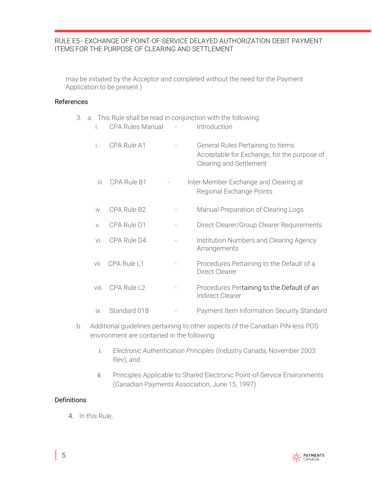may be initiated by the Acceptor and completed without the need for the Payment Application to be present.)

#### <span id="page-4-0"></span>References

|             |                         | 3. a. This Rule shall be read in conjunction with the following:                                            |
|-------------|-------------------------|-------------------------------------------------------------------------------------------------------------|
| İ.          | <b>CPA Rules Manual</b> | Introduction                                                                                                |
| İ.          | CPA Rule A1             | General Rules Pertaining to Items<br>Acceptable for Exchange, for the purpose of<br>Clearing and Settlement |
| iii.        | CPA Rule B1             | Inter-Member Exchange and Clearing at<br>Regional Exchange Points                                           |
| iv.         | CPA Rule B2             | Manual Preparation of Clearing Logs                                                                         |
| $V_{\cdot}$ | CPA Rule D1             | Direct Clearer/Group Clearer Requirements                                                                   |
| vi.         | CPA Rule D4             | Institution Numbers and Clearing Agency<br>Arrangements                                                     |
| vii.        | CPA Rule L1             | Procedures Pertaining to the Default of a<br><b>Direct Clearer</b>                                          |
| viii.       | CPA Rule L <sub>2</sub> | Procedures Pertaining to the Default of an<br>Indirect Clearer                                              |
| ix.         | Standard 018            | Payment Item Information Security Standard                                                                  |

- b. Additional guidelines pertaining to other aspects of the Canadian PIN-less POS environment are contained in the following:
	- i. *Electronic Authentication Principles* (Industry Canada, November 2003 Rev); and
	- ii. Principles Applicable to Shared Electronic Point-of-Service Environments (Canadian Payments Association, June 15, 1997).

#### <span id="page-4-1"></span>**Definitions**

4. In this Rule,

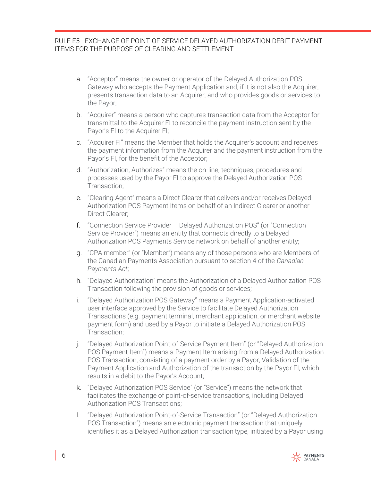- a. "Acceptor" means the owner or operator of the Delayed Authorization POS Gateway who accepts the Payment Application and, if it is not also the Acquirer, presents transaction data to an Acquirer, and who provides goods or services to the Payor;
- b. "Acquirer" means a person who capturestransaction data from the Acceptor for transmittal to the Acquirer FI to reconcile the payment instruction sent by the Payor's FI to the Acquirer FI;
- c. "Acquirer FI" means the Member that holds the Acquirer's account and receives the payment information from the Acquirer and the payment instruction from the Payor's FI, for the benefit of the Acceptor;
- d. "Authorization, Authorizes" means the on-line, techniques, procedures and processes used by the Payor FI to approve the Delayed Authorization POS Transaction;
- e. "Clearing Agent" means a Direct Clearer that delivers and/or receives Delayed Authorization POS Payment Items on behalf of an Indirect Clearer or another Direct Clearer;
- f. "Connection Service Provider Delayed Authorization POS" (or "Connection Service Provider") means an entity that connects directly to a Delayed Authorization POS Payments Service network on behalf of another entity;
- g. "CPA member" (or "Member") means any of those persons who are Members of the Canadian Payments Association pursuant to section 4 of the *Canadian Payments Act*;
- h. "Delayed Authorization" means the Authorization of a Delayed Authorization POS Transaction following the provision of goods or services;
- i. "Delayed Authorization POS Gateway" means a Payment Application-activated user interface approved by the Service to facilitate Delayed Authorization Transactions (e.g. payment terminal, merchant application, or merchant website payment form) and used by a Payor to initiate a Delayed Authorization POS Transaction;
- j. "Delayed Authorization Point-of-Service Payment Item" (or "Delayed Authorization POS Payment Item") means a Payment Item arising from a Delayed Authorization POS Transaction, consisting of a payment order by a Payor, Validation of the Payment Application and Authorization of the transaction by the Payor FI, which results in a debit to the Payor's Account;
- k. "Delayed Authorization POS Service" (or "Service") means the network that facilitates the exchange of point-of-service transactions, including Delayed Authorization POS Transactions;
- l. "Delayed Authorization Point-of-Service Transaction" (or "Delayed Authorization POS Transaction") means an electronic payment transaction that uniquely identifies it as a Delayed Authorization transaction type, initiated by a Payor using

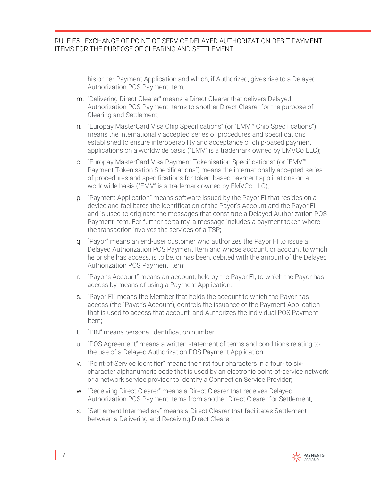his or her Payment Application and which, if Authorized, gives rise to a Delayed Authorization POS Payment Item;

- m. "Delivering Direct Clearer" means a Direct Clearer that delivers Delayed Authorization POS Payment Items to another Direct Clearer for the purpose of Clearing and Settlement;
- n. "Europay MasterCard Visa Chip Specifications" (or "EMV™ Chip Specifications") means the internationally accepted series of procedures and specifications established to ensure interoperability and acceptance of chip-based payment applications on a worldwide basis ("EMV" is a trademark owned by EMVCo LLC);
- o. "Europay MasterCard Visa Payment Tokenisation Specifications" (or "EMV™ Payment Tokenisation Specifications") means the internationally accepted series of procedures and specifications for token-based payment applications on a worldwide basis ("EMV" is a trademark owned by EMVCo LLC);
- p. "Payment Application" means software issued by the Payor FI that resides on a device and facilitates the identification of the Payor's Account and the Payor FI and is used to originate the messages that constitute a Delayed Authorization POS Payment Item. For further certainty, a message includes a payment token where the transaction involves the services of a TSP;
- q. "Payor" means an end-user customer who authorizes the Payor FI to issue a Delayed Authorization POS Payment Item and whose account, or account to which he or she has access, is to be, or has been, debited with the amount of the Delayed Authorization POS Payment Item;
- r. "Payor's Account" means an account, held by the Payor FI, to which the Payor has access by means of using a Payment Application;
- s. "Payor FI" means the Member that holds the account to which the Payor has access (the "Payor's Account), controls the issuance of the Payment Application that is used to access that account, and Authorizes the individual POS Payment Item;
- t. "PIN" means personal identification number;
- u. "POS Agreement" means a written statement of terms and conditions relating to the use of a Delayed Authorization POS Payment Application;
- v. "Point-of-Service Identifier" means the first four characters in a four- to sixcharacter alphanumeric code that is used by an electronic point-of-service network or a network service provider to identify a Connection Service Provider;
- w. "Receiving Direct Clearer" means a Direct Clearer that receives Delayed Authorization POS Payment Items from another Direct Clearer for Settlement;
- x. "Settlement Intermediary" means a Direct Clearer that facilitates Settlement between a Delivering and Receiving Direct Clearer;

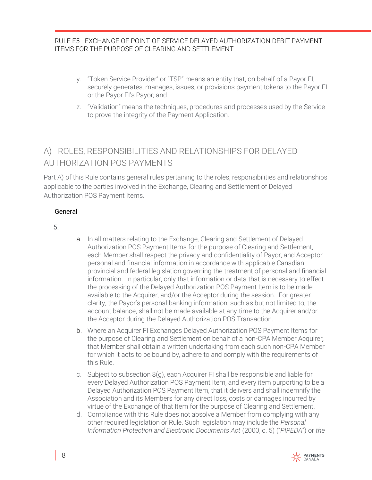- y. "Token Service Provider" or "TSP" means an entity that, on behalf of a Payor FI, securely generates, manages, issues, or provisions payment tokens to the Payor FI or the Payor FI's Payor; and
- z. "Validation" means the techniques, procedures and processes used by the Service to prove the integrity of the Payment Application.

## <span id="page-7-0"></span>A) ROLES, RESPONSIBILITIES AND RELATIONSHIPS FOR DELAYED AUTHORIZATION POS PAYMENTS

Part A) of this Rule contains general rules pertaining to the roles, responsibilities and relationships applicable to the parties involved in the Exchange, Clearing and Settlement of Delayed Authorization POS Payment Items.

#### <span id="page-7-1"></span>General

5.

- a. In all matters relating to the Exchange, Clearing and Settlement of Delayed Authorization POS Payment Items for the purpose of Clearing and Settlement, each Member shall respect the privacy and confidentiality of Payor, and Acceptor personal and financial information in accordance with applicable Canadian provincial and federal legislation governing the treatment of personal and financial information. In particular, only that information or data that is necessary to effect the processing of the Delayed Authorization POS Payment Item is to be made available to the Acquirer, and/or the Acceptor during the session. For greater clarity,the Payor's personalbanking information, such as but not limited to, the account balance, shall not be made available at any time to the Acquirer and/or the Acceptor during the Delayed Authorization POS Transaction.
- b. Where an Acquirer FI Exchanges Delayed Authorization POS Payment Items for the purpose of Clearing and Settlement on behalf of a non-CPA Member Acquirer*,*  that Member shall obtain a written undertaking from each such non-CPA Member for which it acts to be bound by, adhere to and comply with the requirements of this Rule.
- c. Subject to subsection 8(g), each Acquirer FI shall be responsible and liable for every Delayed Authorization POS Payment Item, and every item purporting to be a Delayed Authorization POS Payment Item, that it delivers and shall indemnify the Association and its Members for any direct loss, costs or damages incurred by virtue of the Exchange of that Item for the purpose of Clearing and Settlement.
- d. Compliance with this Rule does not absolve a Member from complying with any other required legislation or Rule. Such legislation may include the *Personal Information Protection and Electronic Documents Act* (2000, c. 5) ("*PIPEDA*") or *the*

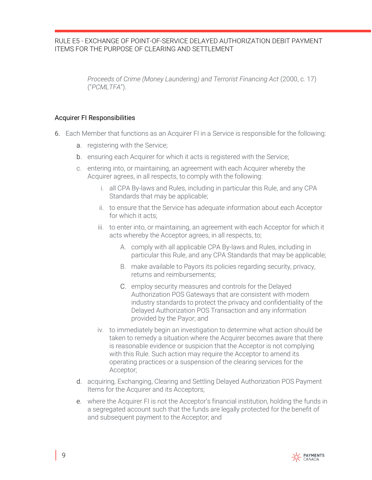*Proceeds of Crime (Money Laundering) and Terrorist Financing Act* (2000, c. 17) ("*PCMLTFA*").

#### <span id="page-8-0"></span>Acquirer FI Responsibilities

- 6. Each Member that functions as an Acquirer FI in a Service is responsible for the following:
	- a. registering with theService;
	- b. ensuring each Acquirer for which it acts is registered with the Service;
	- c. entering into, or maintaining,an agreement with each Acquirer whereby the Acquirer agrees, in all respects, to comply with the following:
		- i. all CPA By-laws and Rules, including in particular this Rule, and any CPA Standards that may be applicable;
		- ii. to ensure that the Service has adequate information about each Acceptor for which it acts;
		- iii. to enter into, or maintaining, an agreement with each Acceptor for which it acts whereby the Acceptor agrees, in all respects, to;
			- A. comply with all applicable CPA By-laws and Rules, including in particular this Rule, and any CPA Standards that may be applicable;
			- B. make available to Payors its policies regarding security, privacy, returns and reimbursements;
			- C. employ security measures and controls for the Delayed Authorization POS Gateways that are consistent with modern industry standards to protect the privacy and confidentiality of the Delayed Authorization POS Transaction and any information provided by the Payor; and
		- iv. to immediately begin an investigation to determine what action should be taken to remedy a situation where the Acquirer becomes aware that there is reasonable evidence or suspicion that the Acceptor is not complying with this Rule. Such action may require the Acceptor to amend its operating practices or a suspension of the clearing services for the Acceptor;
	- d. acquiring,Exchanging, Clearing and Settling Delayed Authorization POS Payment Items for the Acquirer and its Acceptors;
	- e. where the Acquirer FI is not the Acceptor's financial institution, holding the funds in a segregated account such that the funds are legally protected for the benefit of and subsequent payment to the Acceptor; and

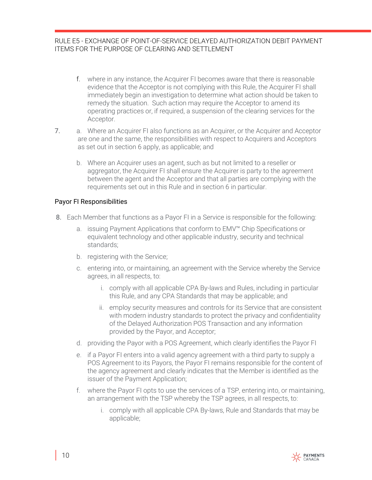- f. where in any instance, the Acquirer FI becomes aware thatthere is reasonable evidence that the Acceptor is not complying with this Rule, the Acquirer FI shall immediately begin an investigation to determine what action should be taken to remedy the situation. Such action may require the Acceptor to amend its operating practices or, if required, a suspension of the clearing services for the Acceptor.
- 7. a. Where an Acquirer FI also functions as an Acquirer, or the Acquirer and Acceptor are one and the same, the responsibilities with respect to Acquirers and Acceptors as set out in section 6 apply, as applicable; and
	- b. Where an Acquirer uses an agent, such as but not limited to a reseller or aggregator, the Acquirer FI shall ensure the Acquirer is party to the agreement between the agent and the Acceptor and that all parties are complying with the requirements set out in this Rule and in section 6 in particular.

#### <span id="page-9-0"></span>Payor FI Responsibilities

- 8. Each Member that functions as a Payor FI in a Service is responsible for the following:
	- a. issuing Payment Applications that conform to EMV™ Chip Specifications or equivalent technology and other applicable industry, security and technical standards;
	- b. registering with theService;
	- c. entering into, or maintaining,an agreement with the Service whereby the Service agrees, in all respects, to:
		- i. comply with all applicable CPA By-laws and Rules, including in particular this Rule, and any CPA Standards that may be applicable; and
		- ii. employ security measures and controls for its Service that are consistent with modern industry standards to protect the privacy and confidentiality of the Delayed Authorization POS Transaction and any information provided by the Payor, and Acceptor;
	- d. providing the Payor with a POS Agreement, which clearly identifies the Payor FI
	- e. if a Payor FI enters into a valid agency agreement with a third party to supply a POS Agreement to its Payors, the Payor FI remains responsible for the content of the agency agreement and clearly indicates that the Member is identified as the issuer of the Payment Application;
	- f. where the Payor FI opts to use the services of a TSP, entering into, or maintaining, an arrangement with the TSP whereby the TSP agrees, in all respects, to:
		- i. comply with all applicable CPA By-laws, Rule and Standards that may be applicable;

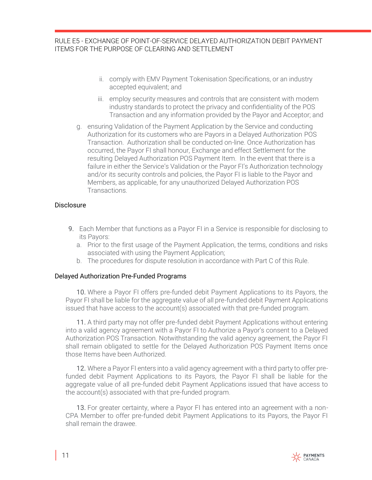- ii. comply with EMV Payment Tokenisation Specifications, or an industry accepted equivalent; and
- iii. employ security measures and controls that are consistent with modern industry standards to protect the privacy and confidentiality of the POS Transaction and any information provided by the Payor and Acceptor; and
- g. ensuring Validation of the Payment Application by the Service and conducting Authorization for its customers who are Payors in a Delayed Authorization POS Transaction. Authorization shall be conducted on-line. Once Authorization has occurred, the Payor FI shall honour, Exchange and effect Settlement for the resulting Delayed Authorization POS Payment Item. In the event that there is a failure in either the Service's Validation or the Payor FI's Authorization technology and/or itssecurity controls and policies, the Payor FI is liable to the Payor and Members, as applicable, for any unauthorized Delayed Authorization POS Transactions.

#### <span id="page-10-0"></span>Disclosure

- 9. Each Member that functions as a Payor FI in a Service is responsible for disclosing to its Payors:
	- a. Prior to the first usage of the Payment Application, the terms, conditions and risks associated with using the Payment Application;
	- b. The procedures for dispute resolution in accordance with Part C of this Rule.

#### <span id="page-10-1"></span>Delayed Authorization Pre-Funded Programs

10. Where a Payor FI offers pre-funded debit Payment Applications to its Payors, the Payor FI shall be liable for the aggregate value of all pre-funded debit Payment Applications issued that have access to the account(s) associated with that pre-funded program.

11. A third party may not offer pre-funded debit Payment Applications without entering into a valid agency agreement with a Payor FI to Authorize a Payor's consent to a Delayed Authorization POS Transaction. Notwithstanding the valid agency agreement, the Payor FI shall remain obligated to settle for the Delayed Authorization POS Payment Items once those Items have been Authorized.

12. Where a Payor FI enters into a valid agency agreement with a third party to offer prefunded debit Payment Applications to its Payors, the Payor FI shall be liable for the aggregate value of all pre-funded debit Payment Applications issued that have access to the account(s) associated with that pre-funded program.

13. For greater certainty, where a Payor FI has entered into an agreement with a non-CPA Member to offer pre-funded debit Payment Applications to its Payors, the Payor FI shall remain the drawee.

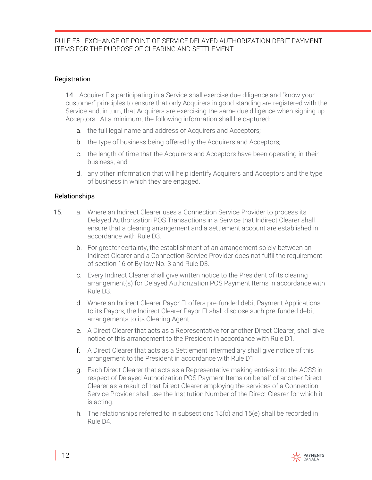#### <span id="page-11-0"></span>Registration

14. Acquirer FIs participating in a Service shall exercise due diligence and "know your customer" principles to ensure that only Acquirers in good standing are registered with the Service and, in turn, that Acquirers are exercising the same due diligence when signing up Acceptors. At a minimum, the following information shall be captured:

- a. the full legal name and address of Acquirers and Acceptors;
- b. the type of business being offered by the Acquirers and Acceptors;
- c. the length of time that the Acquirers and Acceptors have been operating in their business; and
- d. any other information that will help identify Acquirers and Acceptors and the type of business in which they are engaged.

#### <span id="page-11-1"></span>Relationships

- 15. a. Where an Indirect Clearer uses a Connection Service Provider to process its Delayed Authorization POS Transactions in a Service that Indirect Clearer shall ensure that a clearing arrangement and a settlement account are established in accordance with Rule D3.
	- b. For greater certainty, the establishment of an arrangement solely between an Indirect Clearer and a Connection Service Provider does not fulfil the requirement of section 16 of By-law No. 3 and Rule D3.
	- c. Every Indirect Clearer shall give written notice to the President of its clearing arrangement(s) for Delayed Authorization POS Payment Items in accordance with Rule D3.
	- d. Where an Indirect Clearer Payor FI offers pre-funded debit Payment Applications to its Payors, the Indirect Clearer Payor FI shall disclose such pre-funded debit arrangements to its Clearing Agent.
	- e. A Direct Clearer that acts as a Representative for another Direct Clearer, shall give notice of this arrangement to the President in accordance with Rule D1.
	- f. A Direct Clearer that acts as a Settlement Intermediary shall give notice of this arrangement to the President in accordance with Rule D1
	- g. Each Direct Clearer that acts as a Representative making entries into the ACSS in respect of Delayed Authorization POS Payment Items on behalf of another Direct Clearer as a result of that Direct Clearer employing the services of a Connection Service Provider shall use the Institution Number of the Direct Clearer for which it is acting.
	- h. The relationships referred to in subsections 15(c) and 15(e) shall be recorded in Rule D4.

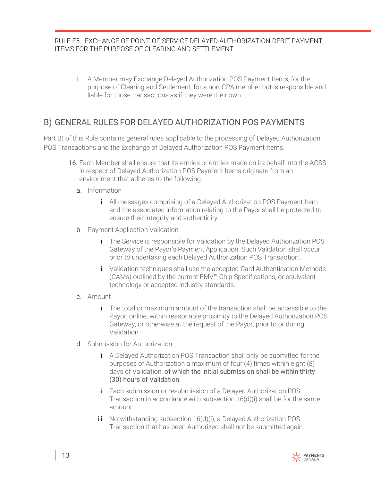i. A Member may Exchange Delayed Authorization POS Payment Items, for the purpose of Clearing and Settlement, for a non-CPA member but is responsible and liable for those transactions as if they were their own.

## <span id="page-12-0"></span>B) GENERAL RULES FOR DELAYED AUTHORIZATION POS PAYMENTS

Part B) of this Rule contains general rules applicable to the processing of Delayed Authorization POS Transactions and the Exchange of Delayed Authorization POS Payment Items.

- 16. Each Member shall ensure that its entries or entries made on its behalf into the ACSS in respect of Delayed Authorization POS Payment Items originate from an environment that adheres to the following:
	- a. Information
		- i. All messages comprising of a Delayed Authorization POS Payment Item and the associated information relating to the Payor shall be protected to ensure their integrity and authenticity.
	- b. Payment Application Validation
		- i. The Service is responsible for Validation by the Delayed Authorization POS Gateway of the Payor's Payment Application. Such Validation shall occur prior to undertaking each Delayed Authorization POS Transaction.
		- ii. Validation techniques shall use the accepted Card Authentication Methods (CAMs) outlined by the current EMV™ Chip Specifications, or equivalent technology or accepted industry standards.
	- c. Amount
		- i. The total or maximum amount of the transaction shall be accessible to the Payor, online, within reasonable proximity to the Delayed Authorization POS Gateway, or otherwise at the request of the Payor, prior to or during Validation.
	- d. Submission for Authorization
		- i. A Delayed Authorization POS Transaction shall only be submitted for the purposes of Authorization a maximum of four (4) times within eight (8) days of Validation, of which the initial submission shall be within thirty (30) hours of Validation.
		- ii. Each submission or resubmission of a Delayed Authorization POS Transaction in accordance with subsection 16(d)(i) shall be for the same amount.
		- iii. Notwithstanding subsection 16(d)(i), a Delayed Authorization POS Transaction that has been Authorized shall not be submitted again.

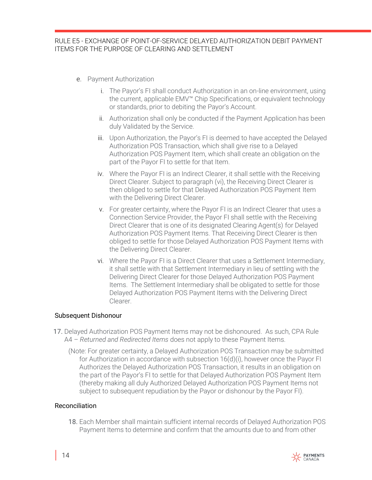- e. Payment Authorization
	- i. The Payor's FI shall conduct Authorization in an on-line environment, using the current, applicable EMV™ Chip Specifications, or equivalent technology or standards, prior to debiting the Payor's Account.
	- ii. Authorization shall only be conducted if the Payment Application has been duly Validated by the Service.
	- iii. Upon Authorization, the Payor's FI is deemed to have accepted the Delayed Authorization POS Transaction, which shall give rise to a Delayed Authorization POS Payment Item, which shall create an obligation on the part of the Payor FI to settle for that Item.
	- iv. Where the Payor FI is an Indirect Clearer, it shall settle with the Receiving Direct Clearer. Subject to paragraph (vi), the Receiving Direct Clearer is then obliged to settle for that Delayed Authorization POS Payment Item with the Delivering Direct Clearer.
	- v. For greater certainty, where the Payor FI is an Indirect Clearer that uses a Connection Service Provider, the Payor FI shall settle with the Receiving Direct Clearer that is one of its designated Clearing Agent(s) for Delayed Authorization POS Payment Items. That Receiving Direct Clearer is then obliged to settle for those Delayed Authorization POS Payment Items with the Delivering Direct Clearer.
	- vi. Where the Payor FI is a Direct Clearer that uses a Settlement Intermediary, it shall settle with that Settlement Intermediary in lieu of settling with the Delivering Direct Clearer for those Delayed Authorization POS Payment Items. The Settlement Intermediary shall be obligated to settle for those Delayed Authorization POS Payment Items with the Delivering Direct Clearer.

#### <span id="page-13-0"></span>Subsequent Dishonour

- 17. Delayed Authorization POS Payment Items may not be dishonoured. As such, CPA Rule A4 – *Returned and Redirected Items* does not apply to these Payment Items.
	- (Note: For greater certainty, a Delayed Authorization POS Transaction may be submitted for Authorization in accordance with subsection 16(d)(i), however once the Payor FI Authorizes the Delayed Authorization POS Transaction, it results in an obligation on the part of the Payor's FI to settle for that Delayed Authorization POS Payment Item (thereby making all duly Authorized Delayed Authorization POS Payment Items not subject to subsequent repudiation by the Payor or dishonour by the Payor FI).

#### <span id="page-13-1"></span>Reconciliation

18. Each Member shall maintain sufficient internal records of Delayed Authorization POS Payment Items to determine and confirm that the amounts due to and from other

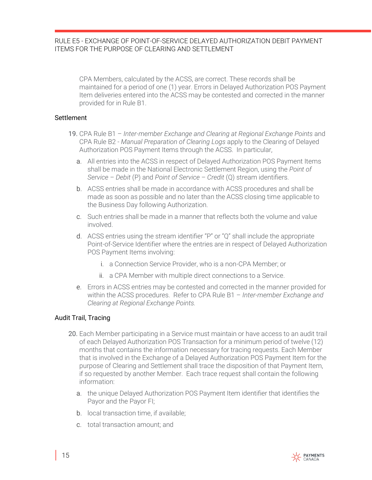CPA Members, calculated by the ACSS, are correct. These records shall be maintained for a period of one (1) year. Errors in Delayed Authorization POS Payment Item deliveries entered into the ACSS may be contested and corrected in the manner provided for in Rule B1.

#### <span id="page-14-0"></span>**Settlement**

- 19. CPA Rule B1 *Inter-member Exchange and Clearing at Regional Exchange Points* and CPA Rule B2 - *Manual Preparation of Clearing Logs* apply to the Clearing of Delayed Authorization POS Payment Items through the ACSS. In particular,
	- a. All entries into the ACSS in respect of Delayed Authorization POS Payment Items shall be made in the National Electronic Settlement Region, using the *Point of Service – Debit* (P) and *Point of Service – Credit* (Q) stream identifiers.
	- b. ACSS entries shall be made in accordance with ACSS procedures and shall be made as soon as possible and no later than the ACSS closing time applicable to the Business Day following Authorization.
	- c. Such entries shall be made in a manner that reflects both the volume and value involved.
	- d. ACSS entries using the stream identifier "P" or "Q" shall include the appropriate Point-of-Service Identifier where the entries are in respect of Delayed Authorization POS Payment Items involving:
		- i. a Connection Service Provider, who is a non-CPA Member; or
		- ii. a CPA Member with multiple direct connections to a Service.
	- e. Errors in ACSS entries may be contested and corrected in the manner provided for within the ACSS procedures. Refer to CPA Rule B1 – *Inter-member Exchange and Clearing at Regional Exchange Points.*

#### <span id="page-14-1"></span>Audit Trail, Tracing

- 20. Each Member participating in a Service must maintain or have access to an audit trail of each Delayed Authorization POS Transaction for a minimum period of twelve (12) months that contains the information necessary for tracing requests. Each Member that is involved in the Exchange of a Delayed Authorization POS Payment Item for the purpose of Clearing and Settlement shall trace the disposition of that Payment Item, if so requested by another Member. Each trace request shall contain the following information:
	- a. the unique Delayed Authorization POS Payment Item identifier that identifies the Payor and the Payor FI;
	- b. local transaction time, if available;
	- c. total transaction amount; and